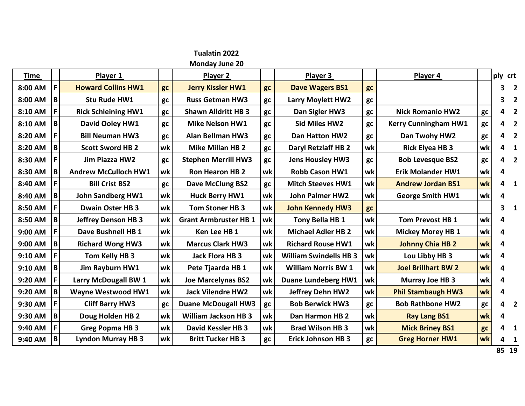

**Monday June 20**

| <b>Time</b> |                 | Player 1                    |    | Player 2                     |    | Player 3                      |    | Player 4                    |    | ply crt |                         |                         |
|-------------|-----------------|-----------------------------|----|------------------------------|----|-------------------------------|----|-----------------------------|----|---------|-------------------------|-------------------------|
| 8:00 AM     | F               | <b>Howard Collins HW1</b>   | gc | <b>Jerry Kissler HW1</b>     | gc | <b>Dave Wagers BS1</b>        | gc |                             |    | 3       | $\overline{\mathbf{2}}$ |                         |
| 8:00 AM     | B               | Stu Rude HW1                | gc | <b>Russ Getman HW3</b>       | gc | Larry Moylett HW2             | gc |                             |    | 3.      | $\overline{\mathbf{2}}$ |                         |
| 8:10 AM     | F.              | <b>Rick Schleining HW1</b>  | gc | <b>Shawn Alldritt HB 3</b>   | gc | Dan Sigler HW3                | gc | <b>Nick Romanio HW2</b>     | gc | 4       | $\overline{\mathbf{2}}$ |                         |
| 8:10 AM     | B               | David Ooley HW1             | gc | <b>Mike Nelson HW1</b>       | gc | <b>Sid Miles HW2</b>          | gc | <b>Kerry Cunningham HW1</b> | gc | 4       | $\overline{\mathbf{2}}$ |                         |
| 8:20 AM     | F               | <b>Bill Neuman HW3</b>      | gc | <b>Alan Bellman HW3</b>      | gc | <b>Dan Hatton HW2</b>         | gc | Dan Twohy HW2               | gc | 4       | $\overline{\mathbf{2}}$ |                         |
| 8:20 AM     | B               | <b>Scott Sword HB 2</b>     | wk | <b>Mike Millan HB 2</b>      | gc | <b>Daryl Retzlaff HB 2</b>    | wk | <b>Rick Elyea HB 3</b>      | wk | 4       | $\overline{\mathbf{1}}$ |                         |
| 8:30 AM     | F               | <b>Jim Piazza HW2</b>       | gc | <b>Stephen Merrill HW3</b>   | gc | <b>Jens Housley HW3</b>       | gc | <b>Bob Levesque BS2</b>     | gc | 4       | $\overline{2}$          |                         |
| 8:30 AM     | B               | <b>Andrew McCulloch HW1</b> | wk | <b>Ron Hearon HB 2</b>       | wk | Robb Cason HW1                | wk | <b>Erik Molander HW1</b>    | wk | 4       |                         |                         |
| 8:40 AM     | F               | <b>Bill Crist BS2</b>       | gc | <b>Dave McClung BS2</b>      | gc | <b>Mitch Steeves HW1</b>      | wk | <b>Andrew Jordan BS1</b>    | wk | 4       | $\overline{\mathbf{1}}$ |                         |
| 8:40 AM     | $\, {\bf B} \,$ | <b>John Sandberg HW1</b>    | wk | <b>Huck Berry HW1</b>        | wk | <b>John Palmer HW2</b>        | wk | <b>George Smith HW1</b>     | wk | 4       |                         |                         |
| 8:50 AM     | F               | <b>Dwain Oster HB 3</b>     | wk | Tom Stoner HB 3              | wk | <b>John Kennedy HW3</b>       | gc |                             |    | 3       | - 1                     |                         |
| 8:50 AM     | B               | <b>Jeffrey Denson HB 3</b>  | wk | <b>Grant Armbruster HB 1</b> | wk | Tony Bella HB 1               | wk | Tom Prevost HB 1            | wk | 4       |                         |                         |
| 9:00 AM     | F               | Dave Bushnell HB 1          | wk | Ken Lee HB 1                 | wk | <b>Michael Adler HB 2</b>     | wk | <b>Mickey Morey HB 1</b>    | wk | 4       |                         |                         |
| 9:00 AM     | B               | <b>Richard Wong HW3</b>     | wk | <b>Marcus Clark HW3</b>      | wk | <b>Richard Rouse HW1</b>      | wk | <b>Johnny Chia HB 2</b>     | wk | 4       |                         |                         |
| 9:10 AM     | F               | Tom Kelly HB 3              | wk | Jack Flora HB 3              | wk | <b>William Swindells HB 3</b> | wk | Lou Libby HB 3              | wk | 4       |                         |                         |
| 9:10 AM     | B               | <b>Jim Rayburn HW1</b>      | wk | Pete Tjaarda HB 1            | wk | <b>William Norris BW 1</b>    | wk | <b>Joel Brillhart BW 2</b>  | wk | 4       |                         |                         |
| 9:20 AM     | F.              | Larry McDougall BW 1        | wk | <b>Joe Marcelynas BS2</b>    | wk | <b>Duane Lundeberg HW1</b>    | wk | Murray Joe HB 3             | wk | 4       |                         |                         |
| 9:20 AM     | $\, {\bf B} \,$ | <b>Wayne Westwood HW1</b>   | wk | <b>Jack Vilendre HW2</b>     | wk | Jeffrey Dehn HW2              | wk | <b>Phil Stambaugh HW3</b>   | wk | 4       |                         |                         |
| 9:30 AM     | F               | <b>Cliff Barry HW3</b>      | gc | <b>Duane McDougall HW3</b>   | gc | <b>Bob Berwick HW3</b>        | gc | <b>Bob Rathbone HW2</b>     | gc | 4       |                         | $\overline{\mathbf{2}}$ |
| 9:30 AM     | B               | Doug Holden HB 2            | wk | <b>William Jackson HB 3</b>  | wk | Dan Harmon HB 2               | wk | <b>Ray Lang BS1</b>         | wk | 4       |                         |                         |
| 9:40 AM     | F               | <b>Greg Popma HB 3</b>      | wk | <b>David Kessler HB 3</b>    | wk | <b>Brad Wilson HB 3</b>       | wk | <b>Mick Briney BS1</b>      | gc | 4       |                         | -1                      |
| 9:40 AM     | B               | <b>Lyndon Murray HB 3</b>   | wk | <b>Britt Tucker HB 3</b>     | gc | <b>Erick Johnson HB 3</b>     | gc | <b>Greg Horner HW1</b>      | wk | 4       | $\overline{\mathbf{1}}$ |                         |
|             |                 |                             |    |                              |    |                               |    |                             |    | 85 19   |                         |                         |